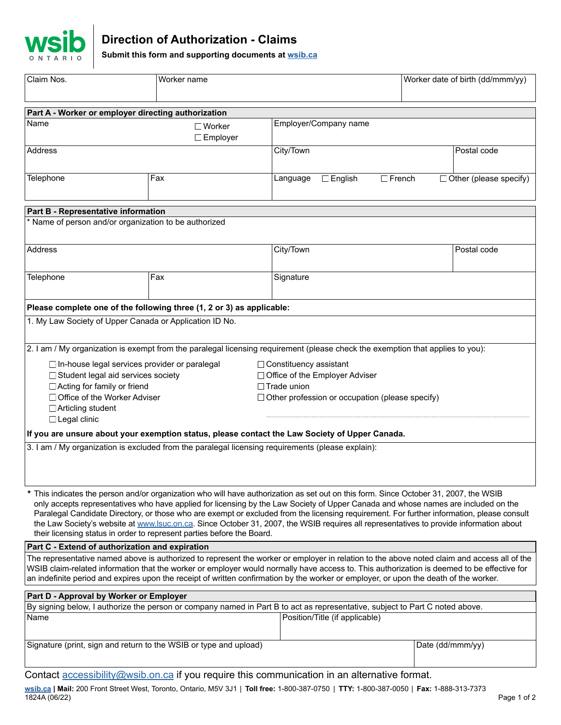

# **Direction of Authorization - Claims**

**Submit this form and supporting documents at [wsib.ca](https://wsib.ca)**

| Claim Nos.                                                                                                                                                                                                                                                                                                                                                                                                                                                                                                                                                                                                                                     | Worker name        |                                                |                  | Worker date of birth (dd/mmm/yy) |
|------------------------------------------------------------------------------------------------------------------------------------------------------------------------------------------------------------------------------------------------------------------------------------------------------------------------------------------------------------------------------------------------------------------------------------------------------------------------------------------------------------------------------------------------------------------------------------------------------------------------------------------------|--------------------|------------------------------------------------|------------------|----------------------------------|
| Part A - Worker or employer directing authorization                                                                                                                                                                                                                                                                                                                                                                                                                                                                                                                                                                                            |                    |                                                |                  |                                  |
| Name<br>$\square$ Worker<br>$\Box$ Employer                                                                                                                                                                                                                                                                                                                                                                                                                                                                                                                                                                                                    |                    | Employer/Company name                          |                  |                                  |
| Address                                                                                                                                                                                                                                                                                                                                                                                                                                                                                                                                                                                                                                        |                    | City/Town                                      |                  | Postal code                      |
| Telephone                                                                                                                                                                                                                                                                                                                                                                                                                                                                                                                                                                                                                                      | Fax                | $\Box$ French<br>$\square$ English<br>Language |                  | $\Box$ Other (please specify)    |
| Part B - Representative information                                                                                                                                                                                                                                                                                                                                                                                                                                                                                                                                                                                                            |                    |                                                |                  |                                  |
| * Name of person and/or organization to be authorized                                                                                                                                                                                                                                                                                                                                                                                                                                                                                                                                                                                          |                    |                                                |                  |                                  |
| Address                                                                                                                                                                                                                                                                                                                                                                                                                                                                                                                                                                                                                                        |                    | City/Town                                      |                  | Postal code                      |
| Telephone                                                                                                                                                                                                                                                                                                                                                                                                                                                                                                                                                                                                                                      | Fax                | Signature                                      |                  |                                  |
| Please complete one of the following three (1, 2 or 3) as applicable:                                                                                                                                                                                                                                                                                                                                                                                                                                                                                                                                                                          |                    |                                                |                  |                                  |
| 1. My Law Society of Upper Canada or Application ID No.                                                                                                                                                                                                                                                                                                                                                                                                                                                                                                                                                                                        |                    |                                                |                  |                                  |
| 2. I am / My organization is exempt from the paralegal licensing requirement (please check the exemption that applies to you):                                                                                                                                                                                                                                                                                                                                                                                                                                                                                                                 |                    |                                                |                  |                                  |
| □ In-house legal services provider or paralegal<br>$\Box$ Constituency assistant                                                                                                                                                                                                                                                                                                                                                                                                                                                                                                                                                               |                    |                                                |                  |                                  |
| □ Student legal aid services society<br>□ Office of the Employer Adviser                                                                                                                                                                                                                                                                                                                                                                                                                                                                                                                                                                       |                    |                                                |                  |                                  |
| □ Acting for family or friend                                                                                                                                                                                                                                                                                                                                                                                                                                                                                                                                                                                                                  | $\Box$ Trade union |                                                |                  |                                  |
| □ Office of the Worker Adviser<br>□ Other profession or occupation (please specify)                                                                                                                                                                                                                                                                                                                                                                                                                                                                                                                                                            |                    |                                                |                  |                                  |
| □ Articling student                                                                                                                                                                                                                                                                                                                                                                                                                                                                                                                                                                                                                            |                    |                                                |                  |                                  |
| □ Legal clinic                                                                                                                                                                                                                                                                                                                                                                                                                                                                                                                                                                                                                                 |                    |                                                |                  |                                  |
| If you are unsure about your exemption status, please contact the Law Society of Upper Canada.                                                                                                                                                                                                                                                                                                                                                                                                                                                                                                                                                 |                    |                                                |                  |                                  |
| 3. I am / My organization is excluded from the paralegal licensing requirements (please explain):                                                                                                                                                                                                                                                                                                                                                                                                                                                                                                                                              |                    |                                                |                  |                                  |
| * This indicates the person and/or organization who will have authorization as set out on this form. Since October 31, 2007, the WSIB<br>only accepts representatives who have applied for licensing by the Law Society of Upper Canada and whose names are included on the<br>Paralegal Candidate Directory, or those who are exempt or excluded from the licensing requirement. For further information, please consult<br>the Law Society's website at www. Suc.on.ca. Since October 31, 2007, the WSIB requires all representatives to provide information about<br>their licensing status in order to represent parties before the Board. |                    |                                                |                  |                                  |
| Part C - Extend of authorization and expiration                                                                                                                                                                                                                                                                                                                                                                                                                                                                                                                                                                                                |                    |                                                |                  |                                  |
| The representative named above is authorized to represent the worker or employer in relation to the above noted claim and access all of the<br>WSIB claim-related information that the worker or employer would normally have access to. This authorization is deemed to be effective for<br>an indefinite period and expires upon the receipt of written confirmation by the worker or employer, or upon the death of the worker.                                                                                                                                                                                                             |                    |                                                |                  |                                  |
| Part D - Approval by Worker or Employer                                                                                                                                                                                                                                                                                                                                                                                                                                                                                                                                                                                                        |                    |                                                |                  |                                  |
| By signing below, I authorize the person or company named in Part B to act as representative, subject to Part C noted above.                                                                                                                                                                                                                                                                                                                                                                                                                                                                                                                   |                    |                                                |                  |                                  |
| Name                                                                                                                                                                                                                                                                                                                                                                                                                                                                                                                                                                                                                                           |                    | Position/Title (if applicable)                 |                  |                                  |
| Signature (print, sign and return to the WSIB or type and upload)                                                                                                                                                                                                                                                                                                                                                                                                                                                                                                                                                                              |                    |                                                | Date (dd/mmm/yy) |                                  |
| Contact accessibility@wsib.on.ca if you require this communication in an alternative format.                                                                                                                                                                                                                                                                                                                                                                                                                                                                                                                                                   |                    |                                                |                  |                                  |

**[wsib.ca](https://wsib.ca) | Mail:** 200 Front Street West, Toronto, Ontario, M5V 3J1 | **Toll free:** 1-800-387-0750 | **TTY:** 1-800-387-0050 | **Fax:** 1-888-313-7373 1824A (06/22) Page 1 of 2